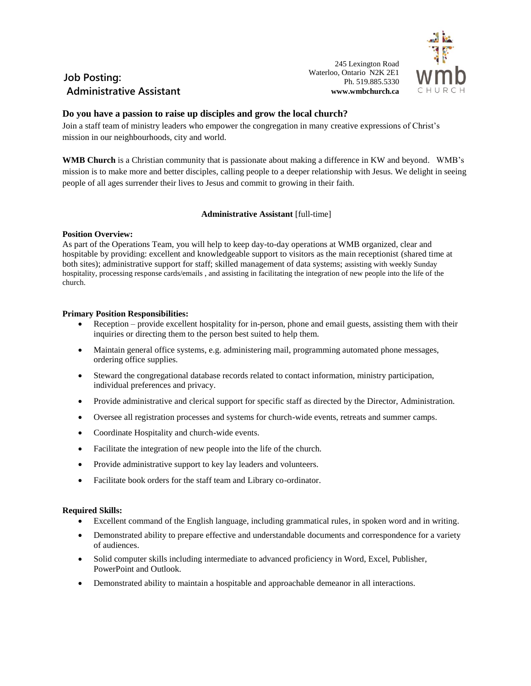

# **Job Posting: Administrative Assistant**

245 Lexington Road Waterloo, Ontario N2K 2E1 Ph. 519.885.5330 **www.wmbchurch.ca**

## **Do you have a passion to raise up disciples and grow the local church?**

Join a staff team of ministry leaders who empower the congregation in many creative expressions of Christ's mission in our neighbourhoods, city and world.

**WMB Church** is a Christian community that is passionate about making a difference in KW and beyond. WMB's mission is to make more and better disciples, calling people to a deeper relationship with Jesus. We delight in seeing people of all ages surrender their lives to Jesus and commit to growing in their faith.

### **Administrative Assistant** [full-time]

### **Position Overview:**

As part of the Operations Team, you will help to keep day-to-day operations at WMB organized, clear and hospitable by providing: excellent and knowledgeable support to visitors as the main receptionist (shared time at both sites); administrative support for staff; skilled management of data systems; assisting with weekly Sunday hospitality, processing response cards/emails , and assisting in facilitating the integration of new people into the life of the church.

### **Primary Position Responsibilities:**

- Reception provide excellent hospitality for in-person, phone and email guests, assisting them with their inquiries or directing them to the person best suited to help them.
- Maintain general office systems, e.g. administering mail, programming automated phone messages, ordering office supplies.
- Steward the congregational database records related to contact information, ministry participation, individual preferences and privacy.
- Provide administrative and clerical support for specific staff as directed by the Director, Administration.
- Oversee all registration processes and systems for church-wide events, retreats and summer camps.
- Coordinate Hospitality and church-wide events.
- Facilitate the integration of new people into the life of the church.
- Provide administrative support to key lay leaders and volunteers.
- Facilitate book orders for the staff team and Library co-ordinator.

#### **Required Skills:**

- Excellent command of the English language, including grammatical rules, in spoken word and in writing.
- Demonstrated ability to prepare effective and understandable documents and correspondence for a variety of audiences.
- Solid computer skills including intermediate to advanced proficiency in Word, Excel, Publisher, PowerPoint and Outlook.
- Demonstrated ability to maintain a hospitable and approachable demeanor in all interactions.